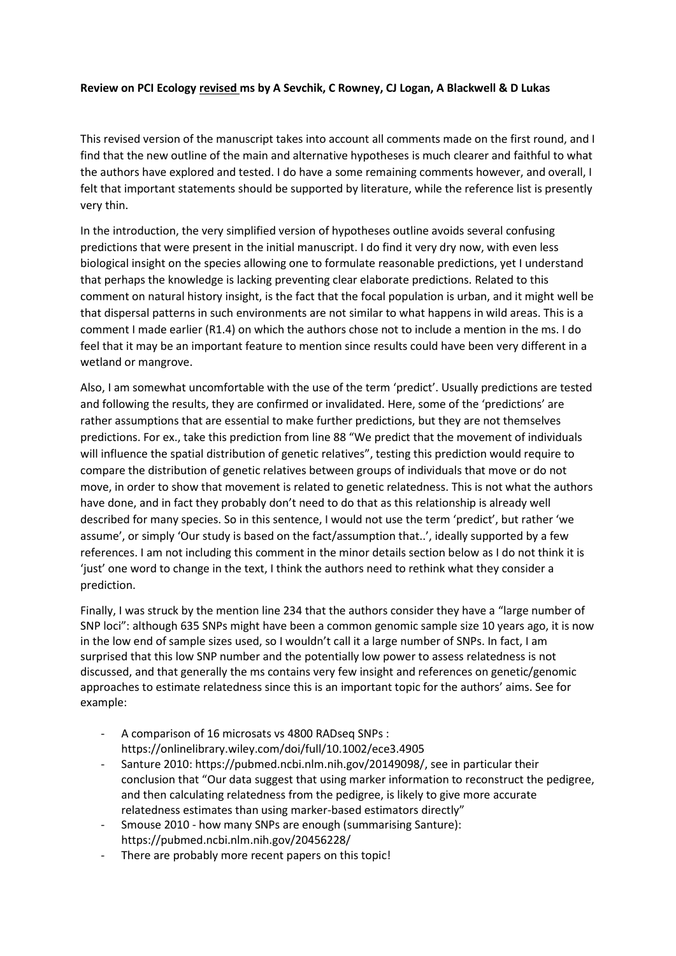## **Review on PCI Ecology revised ms by A Sevchik, C Rowney, CJ Logan, A Blackwell & D Lukas**

This revised version of the manuscript takes into account all comments made on the first round, and I find that the new outline of the main and alternative hypotheses is much clearer and faithful to what the authors have explored and tested. I do have a some remaining comments however, and overall, I felt that important statements should be supported by literature, while the reference list is presently very thin.

In the introduction, the very simplified version of hypotheses outline avoids several confusing predictions that were present in the initial manuscript. I do find it very dry now, with even less biological insight on the species allowing one to formulate reasonable predictions, yet I understand that perhaps the knowledge is lacking preventing clear elaborate predictions. Related to this comment on natural history insight, is the fact that the focal population is urban, and it might well be that dispersal patterns in such environments are not similar to what happens in wild areas. This is a comment I made earlier (R1.4) on which the authors chose not to include a mention in the ms. I do feel that it may be an important feature to mention since results could have been very different in a wetland or mangrove.

Also, I am somewhat uncomfortable with the use of the term 'predict'. Usually predictions are tested and following the results, they are confirmed or invalidated. Here, some of the 'predictions' are rather assumptions that are essential to make further predictions, but they are not themselves predictions. For ex., take this prediction from line 88 "We predict that the movement of individuals will influence the spatial distribution of genetic relatives", testing this prediction would require to compare the distribution of genetic relatives between groups of individuals that move or do not move, in order to show that movement is related to genetic relatedness. This is not what the authors have done, and in fact they probably don't need to do that as this relationship is already well described for many species. So in this sentence, I would not use the term 'predict', but rather 'we assume', or simply 'Our study is based on the fact/assumption that..', ideally supported by a few references. I am not including this comment in the minor details section below as I do not think it is 'just' one word to change in the text, I think the authors need to rethink what they consider a prediction.

Finally, I was struck by the mention line 234 that the authors consider they have a "large number of SNP loci": although 635 SNPs might have been a common genomic sample size 10 years ago, it is now in the low end of sample sizes used, so I wouldn't call it a large number of SNPs. In fact, I am surprised that this low SNP number and the potentially low power to assess relatedness is not discussed, and that generally the ms contains very few insight and references on genetic/genomic approaches to estimate relatedness since this is an important topic for the authors' aims. See for example:

- A comparison of 16 microsats vs 4800 RADseq SNPs : <https://onlinelibrary.wiley.com/doi/full/10.1002/ece3.4905>
- Santure 2010: [https://pubmed.ncbi.nlm.nih.gov/20149098/,](https://pubmed.ncbi.nlm.nih.gov/20149098/) see in particular their conclusion that "Our data suggest that using marker information to reconstruct the pedigree, and then calculating relatedness from the pedigree, is likely to give more accurate relatedness estimates than using marker-based estimators directly"
- Smouse 2010 how many SNPs are enough (summarising Santure): <https://pubmed.ncbi.nlm.nih.gov/20456228/>
- There are probably more recent papers on this topic!